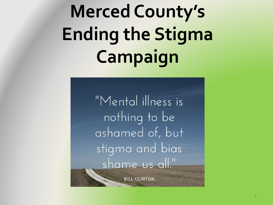### **Merced County's Ending the Stigma Campaign**

"Mental illness is nothing to be ashamed of, but stigma and bias shame us all."

**BILL CLINTON**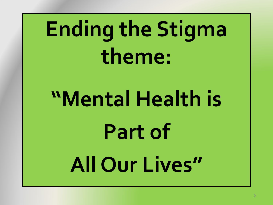## **Ending the Stigma theme:**

# **"Mental Health is Part of All Our Lives"**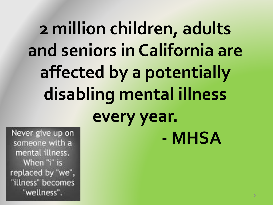### **2 million children, adults and seniors in California are affected by a potentially disabling mental illness every year. - MHSA**

Never give up on someone with a mental illness. When "i" is replaced by "we", "illness" becomes "wellness".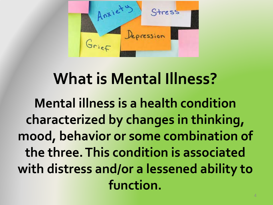

#### **What is Mental Illness?**

**Mental illness is a health condition characterized by changes in thinking, mood, behavior or some combination of the three. This condition is associated with distress and/or a lessened ability to function.**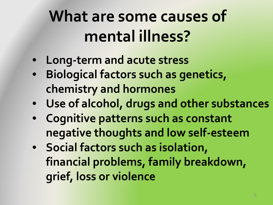#### **What are some causes of mental illness?**

- **Long-term and acute stress**
- **Biological factors such as genetics, chemistry and hormones**
- **Use of alcohol, drugs and other substances**
- **Cognitive patterns such as constant negative thoughts and low self-esteem**
- **Social factors such as isolation, financial problems, family breakdown, grief, loss or violence**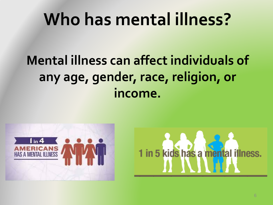#### **Who has mental illness?**

#### **Mental illness can affect individuals of any age, gender, race, religion, or income.**



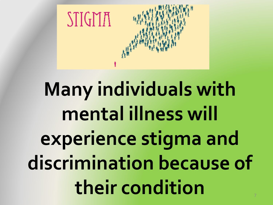

### **Many individuals with mental illness will experience stigma and discrimination because of their condition** <sup>7</sup>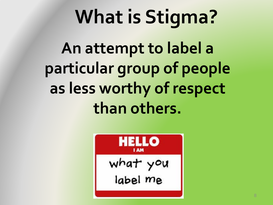### **What is Stigma?**

**An attempt to label a particular group of people as less worthy of respect than others.**

$$
\begin{array}{|c|}\n\hline\n\text{Hillo} \\
\hline\n\text{what you} \\
\text{label me}\n\end{array}
$$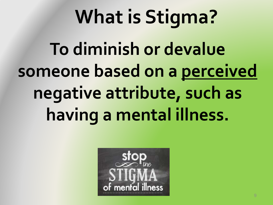# **To diminish or devalue someone based on a perceived negative attribute, such as What is Stigma?**

**having a mental illness.**

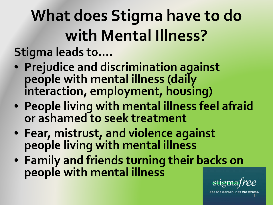**What does Stigma have to do with Mental Illness? Stigma leads to….**

- **Prejudice and discrimination against people with mental illness (daily interaction, employment, housing)**
- **People living with mental illness feel afraid or ashamed to seek treatment**
- **Fear, mistrust, and violence against people living with mental illness**
- **Family and friends turning their backs on people with mental illness**



See the person, not the 10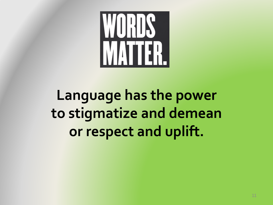

**Language has the power to stigmatize and demean or respect and uplift.**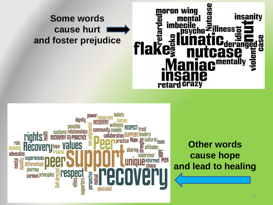#### **Some words cause hurt and foster prejudice**





**Other words cause hope and lead to healing**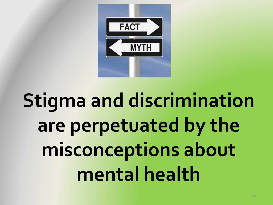

### **Stigma and discrimination are perpetuated by the misconceptions about mental health**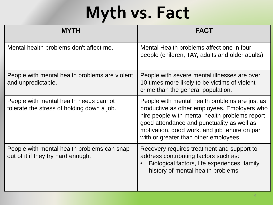### **Myth vs. Fact**

| <b>MYTH</b>                                                                          | <b>FACT</b>                                                                                                                                                                                                                                                                             |
|--------------------------------------------------------------------------------------|-----------------------------------------------------------------------------------------------------------------------------------------------------------------------------------------------------------------------------------------------------------------------------------------|
| Mental health problems don't affect me.                                              | Mental Health problems affect one in four<br>people (children, TAY, adults and older adults)                                                                                                                                                                                            |
| People with mental health problems are violent<br>and unpredictable.                 | People with severe mental illnesses are over<br>10 times more likely to be victims of violent<br>crime than the general population.                                                                                                                                                     |
| People with mental health needs cannot<br>tolerate the stress of holding down a job. | People with mental health problems are just as<br>productive as other employees. Employers who<br>hire people with mental health problems report<br>good attendance and punctuality as well as<br>motivation, good work, and job tenure on par<br>with or greater than other employees. |
| People with mental health problems can snap<br>out of it if they try hard enough.    | Recovery requires treatment and support to<br>address contributing factors such as:<br>Biological factors, life experiences, family<br>history of mental health problems                                                                                                                |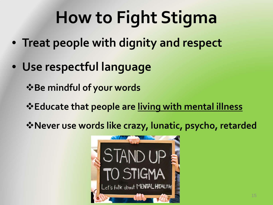- **Treat people with dignity and respect**
- **Use respectful language**

 $\cdot$  $\bullet$  **Be mindful of your words** 

- **Educate that people are living with mental illness**
- **Never use words like crazy, lunatic, psycho, retarded**

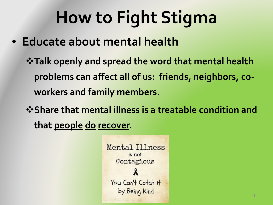- **Educate about mental health**
	- **Talk openly and spread the word that mental health problems can affect all of us: friends, neighbors, coworkers and family members.**
	- $\diamond$  **Share that mental illness is a treatable condition and that people do recover.**

```
Mental Illness
       is not
  Contagious
 You Can't Catch it
   by Being Kind
```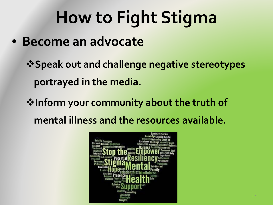• **Become an advocate**

**Speak out and challenge negative stereotypes portrayed in the media.** 

**Inform your community about the truth of mental illness and the resources available.**

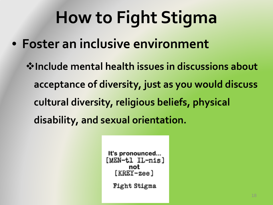• **Foster an inclusive environment**

**Include mental health issues in discussions about acceptance of diversity, just as you would discuss cultural diversity, religious beliefs, physical disability, and sexual orientation.**

```
It's pronounced...
[MEN-tl IL-nis]
  [KREY - zee]Fight Stigma
```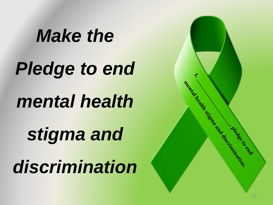*Make the Pledge to end mental health stigma and discrimination*

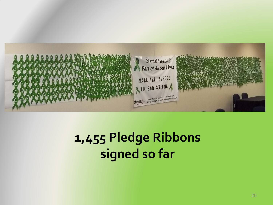

#### **1,455 Pledge Ribbons signed so far**